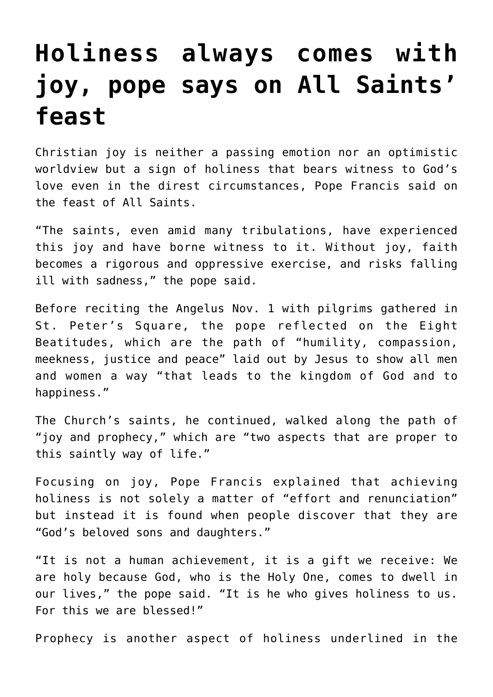## **[Holiness always comes with](https://www.osvnews.com/2021/11/01/holiness-always-comes-with-joy-pope-says-on-all-saints-feast/) [joy, pope says on All Saints'](https://www.osvnews.com/2021/11/01/holiness-always-comes-with-joy-pope-says-on-all-saints-feast/) [feast](https://www.osvnews.com/2021/11/01/holiness-always-comes-with-joy-pope-says-on-all-saints-feast/)**

Christian joy is neither a passing emotion nor an optimistic worldview but a sign of holiness that bears witness to God's love even in the direst circumstances, Pope Francis said on the feast of All Saints.

"The saints, even amid many tribulations, have experienced this joy and have borne witness to it. Without joy, faith becomes a rigorous and oppressive exercise, and risks falling ill with sadness," the pope said.

Before reciting the Angelus Nov. 1 with pilgrims gathered in St. Peter's Square, the pope reflected on the Eight Beatitudes, which are the path of "humility, compassion, meekness, justice and peace" laid out by Jesus to show all men and women a way "that leads to the kingdom of God and to happiness."

The Church's saints, he continued, walked along the path of "joy and prophecy," which are "two aspects that are proper to this saintly way of life."

Focusing on joy, Pope Francis explained that achieving holiness is not solely a matter of "effort and renunciation" but instead it is found when people discover that they are "God's beloved sons and daughters."

"It is not a human achievement, it is a gift we receive: We are holy because God, who is the Holy One, comes to dwell in our lives," the pope said. "It is he who gives holiness to us. For this we are blessed!"

Prophecy is another aspect of holiness underlined in the